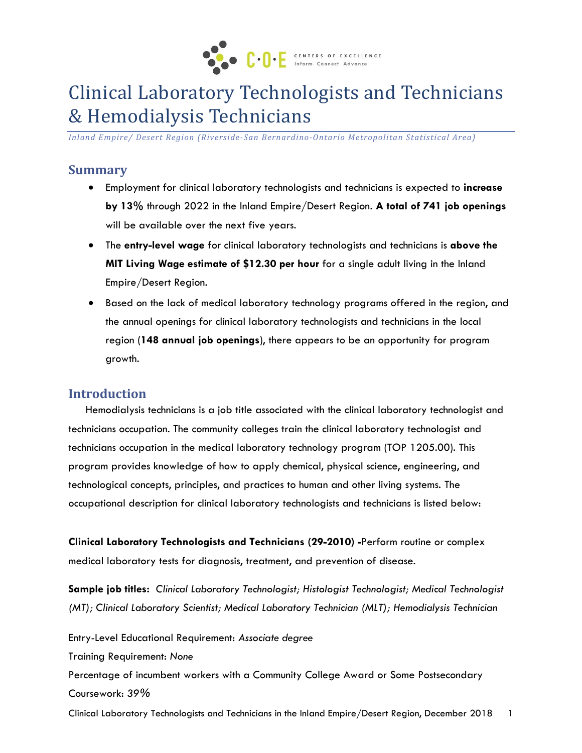

# Clinical Laboratory Technologists and Technicians & Hemodialysis Technicians

*Inland Empire/ Desert Region (Riverside-San Bernardino-Ontario Metropolitan Statistical Area)*

#### **Summary**

- Employment for clinical laboratory technologists and technicians is expected to **increase by 13%** through 2022 in the Inland Empire/Desert Region. **A total of 741 job openings** will be available over the next five years.
- The **entry-level wage** for clinical laboratory technologists and technicians is **above the MIT Living Wage estimate of \$12.30 per hour** for a single adult living in the Inland Empire/Desert Region.
- Based on the lack of medical laboratory technology programs offered in the region, and the annual openings for clinical laboratory technologists and technicians in the local region (**148 annual job openings**), there appears to be an opportunity for program growth.

#### **Introduction**

Hemodialysis technicians is a job title associated with the clinical laboratory technologist and technicians occupation. The community colleges train the clinical laboratory technologist and technicians occupation in the medical laboratory technology program (TOP 1205.00). This program provides knowledge of how to apply chemical, physical science, engineering, and technological concepts, principles, and practices to human and other living systems. The occupational description for clinical laboratory technologists and technicians is listed below:

**Clinical Laboratory Technologists and Technicians (29-2010) -**Perform routine or complex medical laboratory tests for diagnosis, treatment, and prevention of disease.

**Sample job titles:** *Clinical Laboratory Technologist; Histologist Technologist; Medical Technologist (MT); Clinical Laboratory Scientist; Medical Laboratory Technician (MLT); Hemodialysis Technician*

Entry-Level Educational Requirement: *Associate degree*

Training Requirement: *None*

Percentage of incumbent workers with a Community College Award or Some Postsecondary Coursework: *39%*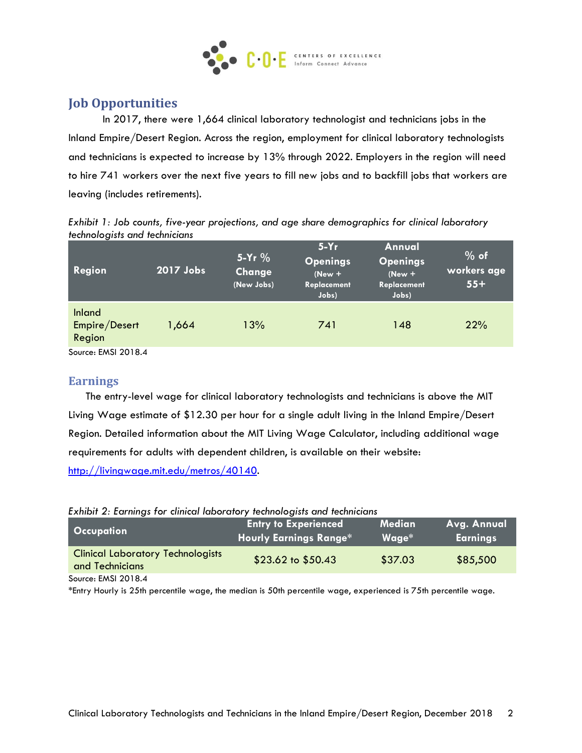

# **Job Opportunities**

In 2017, there were 1,664 clinical laboratory technologist and technicians jobs in the Inland Empire/Desert Region. Across the region, employment for clinical laboratory technologists and technicians is expected to increase by 13% through 2022. Employers in the region will need to hire 741 workers over the next five years to fill new jobs and to backfill jobs that workers are leaving (includes retirements).

*Exhibit 1: Job counts, five-year projections, and age share demographics for clinical laboratory technologists and technicians*

| Region                            | 2017 Jobs | $5-Yr$ %<br>Change<br>(New Jobs) | $5-Yr$<br><b>Openings</b><br>$(New +$<br>Replacement<br>Jobs) | Annual<br><b>Openings</b><br>$(New +$<br>Replacement<br>Jobs) | $%$ of<br>workers age<br>$55+$ |
|-----------------------------------|-----------|----------------------------------|---------------------------------------------------------------|---------------------------------------------------------------|--------------------------------|
| Inland<br>Empire/Desert<br>Region | 1,664     | 13%                              | 741                                                           | 148                                                           | 22%                            |
| $S_{\text{outcon}}$ EMSI $2018A$  |           |                                  |                                                               |                                                               |                                |

Source: EMSI 2018.4

#### **Earnings**

The entry-level wage for clinical laboratory technologists and technicians is above the MIT Living Wage estimate of \$12.30 per hour for a single adult living in the Inland Empire/Desert Region. Detailed information about the MIT Living Wage Calculator, including additional wage requirements for adults with dependent children, is available on their website: [http://livingwage.mit.edu/metros/40140.](http://livingwage.mit.edu/metros/40140)

|  |  |  |  |  | Exhibit 2: Earnings for clinical laboratory technologists and technicians |
|--|--|--|--|--|---------------------------------------------------------------------------|
|  |  |  |  |  |                                                                           |

| <b>Occupation</b>                                           | <b>Entry to Experienced</b><br><b>Hourly Earnings Range*</b> | <b>Median</b><br>$Wage*$ | Avg. Annual<br><b>Earnings</b> |
|-------------------------------------------------------------|--------------------------------------------------------------|--------------------------|--------------------------------|
| <b>Clinical Laboratory Technologists</b><br>and Technicians | $$23.62$ to $$50.43$                                         | \$37.03                  | \$85,500                       |
| Source: EMSI 2018.4                                         |                                                              |                          |                                |

\*Entry Hourly is 25th percentile wage, the median is 50th percentile wage, experienced is 75th percentile wage.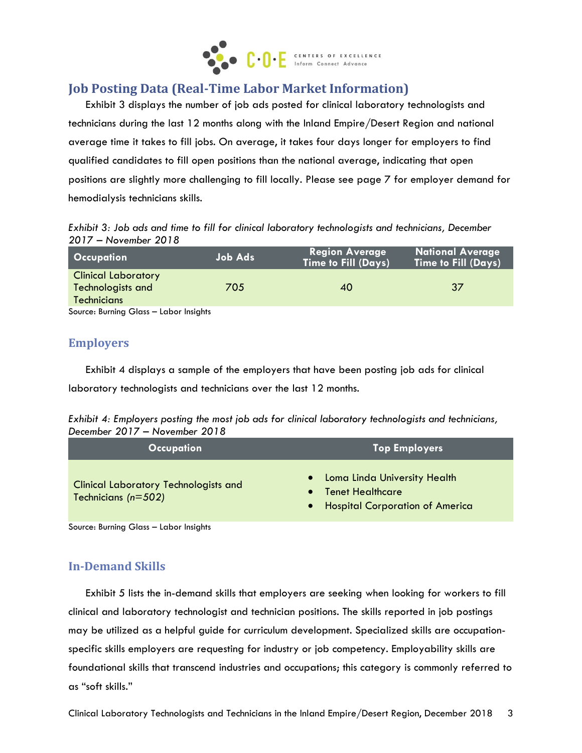

# **Job Posting Data (Real-Time Labor Market Information)**

Exhibit 3 displays the number of job ads posted for clinical laboratory technologists and technicians during the last 12 months along with the Inland Empire/Desert Region and national average time it takes to fill jobs. On average, it takes four days longer for employers to find qualified candidates to fill open positions than the national average, indicating that open positions are slightly more challenging to fill locally. Please see page 7 for employer demand for hemodialysis technicians skills.

*Exhibit 3: Job ads and time to fill for clinical laboratory technologists and technicians, December 2017 – November 2018*

| $\blacksquare$ Occupation $\blacksquare$ | <b>Job Ads</b> | <b>Region Average</b><br>Time to Fill (Days) | <b>National Average</b><br><b>Time to Fill (Days)</b> |
|------------------------------------------|----------------|----------------------------------------------|-------------------------------------------------------|
| <b>Clinical Laboratory</b>               |                |                                              |                                                       |
| Technologists and                        | 705            | 40                                           | 37                                                    |
| <b>Technicians</b>                       |                |                                              |                                                       |
| Source: Burning Glass - Labor Insights   |                |                                              |                                                       |

#### **Employers**

Exhibit 4 displays a sample of the employers that have been posting job ads for clinical laboratory technologists and technicians over the last 12 months.

| Exhibit 4: Employers posting the most job ads for clinical laboratory technologists and technicians, |  |  |  |  |  |
|------------------------------------------------------------------------------------------------------|--|--|--|--|--|
| December 2017 – November 2018                                                                        |  |  |  |  |  |

| <b>Occupation</b>                                                   | <b>Top Employers</b>                                                                      |
|---------------------------------------------------------------------|-------------------------------------------------------------------------------------------|
| <b>Clinical Laboratory Technologists and</b><br>Technicians (n=502) | • Loma Linda University Health<br>• Tenet Healthcare<br>• Hospital Corporation of America |

Source: Burning Glass – Labor Insights

## **In-Demand Skills**

Exhibit 5 lists the in-demand skills that employers are seeking when looking for workers to fill clinical and laboratory technologist and technician positions. The skills reported in job postings may be utilized as a helpful guide for curriculum development. Specialized skills are occupationspecific skills employers are requesting for industry or job competency. Employability skills are foundational skills that transcend industries and occupations; this category is commonly referred to as "soft skills."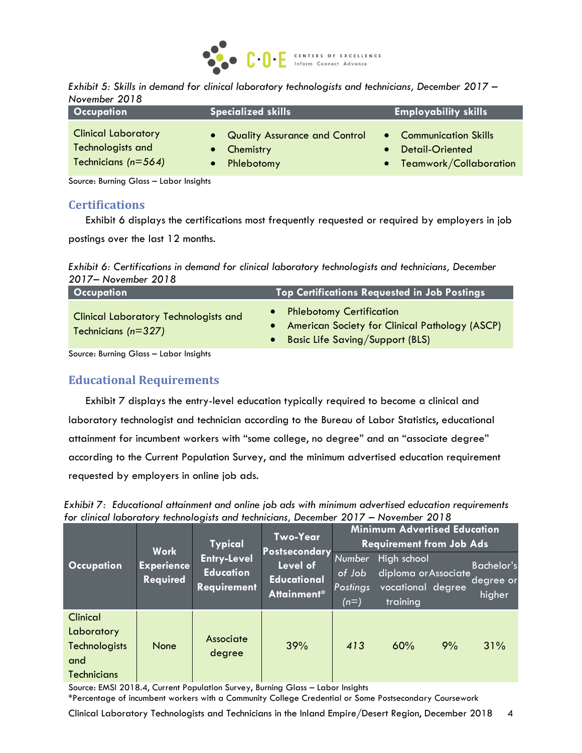

| Exhibit 5: Skills in demand for clinical laboratory technologists and technicians, December 2017 - |  |  |  |
|----------------------------------------------------------------------------------------------------|--|--|--|
| November 2018                                                                                      |  |  |  |

| <b>Occupation</b>          | <b>Specialized skills</b>       | <b>Employability skills</b> |
|----------------------------|---------------------------------|-----------------------------|
| <b>Clinical Laboratory</b> | • Quality Assurance and Control | • Communication Skills      |
| Technologists and          | • Chemistry                     | • Detail-Oriented           |
| Technicians (n=564)        | Phlebotomy                      | • Teamwork/Collaboration    |

Source: Burning Glass – Labor Insights

#### **Certifications**

Exhibit 6 displays the certifications most frequently requested or required by employers in job postings over the last 12 months.

*Exhibit 6: Certifications in demand for clinical laboratory technologists and technicians, December 2017– November 2018*

| <b>Occupation</b>                                                     | <b>Top Certifications Requested in Job Postings</b>                                                                 |
|-----------------------------------------------------------------------|---------------------------------------------------------------------------------------------------------------------|
| <b>Clinical Laboratory Technologists and</b><br>Technicians $(n=327)$ | • Phlebotomy Certification<br>• American Society for Clinical Pathology (ASCP)<br>• Basic Life Saving/Support (BLS) |

Source: Burning Glass – Labor Insights

## **Educational Requirements**

Exhibit 7 displays the entry-level education typically required to become a clinical and laboratory technologist and technician according to the Bureau of Labor Statistics, educational attainment for incumbent workers with "some college, no degree" and an "associate degree" according to the Current Population Survey, and the minimum advertised education requirement requested by employers in online job ads.

*Exhibit 7: Educational attainment and online job ads with minimum advertised education requirements for clinical laboratory technologists and technicians, December 2017 – November 2018*

|                                                                             | Work                                                                                          | <b>Typical</b>                                | <b>Two-Year</b><br><b>Postsecondary</b>       | <b>Minimum Advertised Education</b><br><b>Requirement from Job Ads</b> |     |                                          |     |  |
|-----------------------------------------------------------------------------|-----------------------------------------------------------------------------------------------|-----------------------------------------------|-----------------------------------------------|------------------------------------------------------------------------|-----|------------------------------------------|-----|--|
| <b>Occupation</b>                                                           | <b>Entry-Level</b><br><b>Experience</b><br><b>Education</b><br>Required<br><b>Requirement</b> | Level of<br><b>Educational</b><br>Attainment* | <b>Number</b><br>of Job<br>Postings<br>$(n=)$ | High school<br>diploma or Associate<br>vocational degree<br>training   |     | <b>Bachelor's</b><br>degree or<br>higher |     |  |
| Clinical<br>Laboratory<br><b>Technologists</b><br>and<br><b>Technicians</b> | None                                                                                          | Associate<br>degree                           | 39%                                           | 413                                                                    | 60% | 9%                                       | 31% |  |

Source: EMSI 2018.4, Current Population Survey, Burning Glass – Labor Insights

\*Percentage of incumbent workers with a Community College Credential or Some Postsecondary Coursework

Clinical Laboratory Technologists and Technicians in the Inland Empire/Desert Region, December 2018 4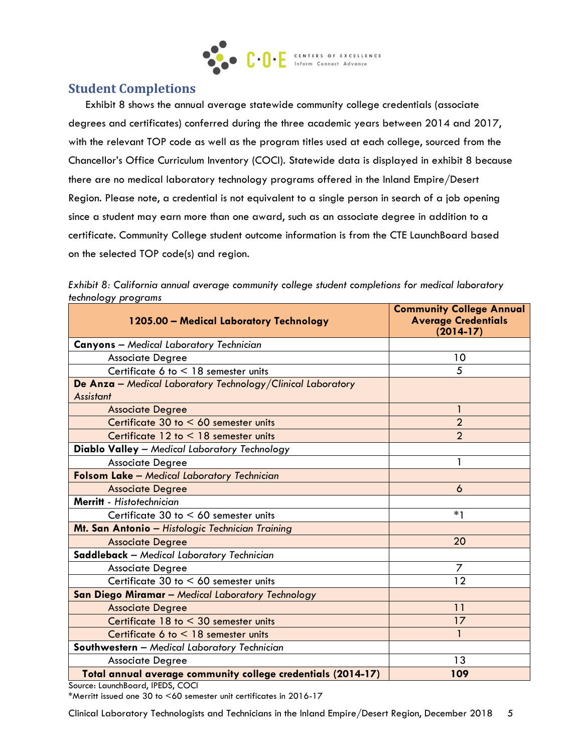

## **Student Completions**

Exhibit 8 shows the annual average statewide community college credentials (associate degrees and certificates) conferred during the three academic years between 2014 and 2017, with the relevant TOP code as well as the program titles used at each college, sourced from the Chancellor's Office Curriculum Inventory (COCI). Statewide data is displayed in exhibit 8 because there are no medical laboratory technology programs offered in the Inland Empire/Desert Region. Please note, a credential is not equivalent to a single person in search of a job opening since a student may earn more than one award, such as an associate degree in addition to a certificate. Community College student outcome information is from the CTE LaunchBoard based on the selected TOP code(s) and region.

| 1205.00 - Medical Laboratory Technology                                         | <b>Community College Annual</b><br><b>Average Credentials</b><br>$(2014-17)$ |
|---------------------------------------------------------------------------------|------------------------------------------------------------------------------|
| <b>Canyons</b> - Medical Laboratory Technician                                  |                                                                              |
| <b>Associate Degree</b>                                                         | 10                                                                           |
| Certificate 6 to $\leq$ 18 semester units                                       | 5                                                                            |
| De Anza - Medical Laboratory Technology/Clinical Laboratory<br><b>Assistant</b> |                                                                              |
| <b>Associate Degree</b>                                                         |                                                                              |
| Certificate 30 to < 60 semester units                                           | $\overline{2}$                                                               |
| Certificate $12$ to $\leq 18$ semester units                                    | $\overline{2}$                                                               |
| Diablo Valley - Medical Laboratory Technology                                   |                                                                              |
| <b>Associate Degree</b>                                                         | 1                                                                            |
| Folsom Lake - Medical Laboratory Technician                                     |                                                                              |
| <b>Associate Degree</b>                                                         | 6                                                                            |
| Merritt - Histotechnician                                                       |                                                                              |
| Certificate 30 to $< 60$ semester units                                         | $*1$                                                                         |
| Mt. San Antonio - Histologic Technician Training                                |                                                                              |
| <b>Associate Degree</b>                                                         | 20                                                                           |
| Saddleback - Medical Laboratory Technician                                      |                                                                              |
| <b>Associate Degree</b>                                                         | 7                                                                            |
| Certificate 30 to $< 60$ semester units                                         | 12                                                                           |
| San Diego Miramar - Medical Laboratory Technology                               |                                                                              |
| <b>Associate Degree</b>                                                         | 11                                                                           |
| Certificate $18$ to $\leq 30$ semester units                                    | 17                                                                           |
| Certificate 6 to $<$ 18 semester units                                          |                                                                              |
| Southwestern - Medical Laboratory Technician                                    |                                                                              |
| <b>Associate Degree</b>                                                         | 13                                                                           |
| Total annual average community college credentials (2014-17)                    | 109                                                                          |

*Exhibit 8: California annual average community college student completions for medical laboratory technology programs*

Source: LaunchBoard, IPEDS, COCI

\*Merritt issued one 30 to <60 semester unit certificates in 2016-17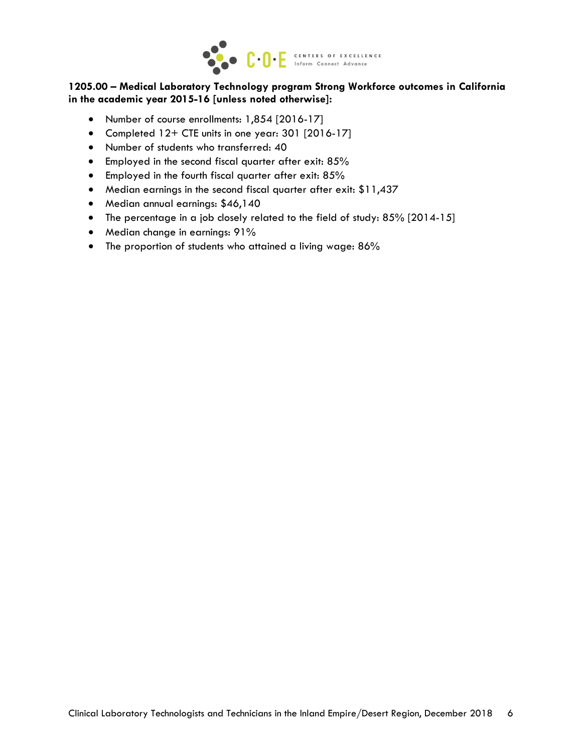

#### **1205.00 – Medical Laboratory Technology program Strong Workforce outcomes in California in the academic year 2015-16 [unless noted otherwise]:**

- Number of course enrollments: 1,854 [2016-17]
- Completed 12+ CTE units in one year: 301 [2016-17]
- Number of students who transferred: 40
- Employed in the second fiscal quarter after exit: 85%
- **•** Employed in the fourth fiscal quarter after exit: 85%
- Median earnings in the second fiscal quarter after exit: \$11,437
- Median annual earnings: \$46,140
- The percentage in a job closely related to the field of study: 85% [2014-15]
- Median change in earnings: 91%
- The proportion of students who attained a living wage: 86%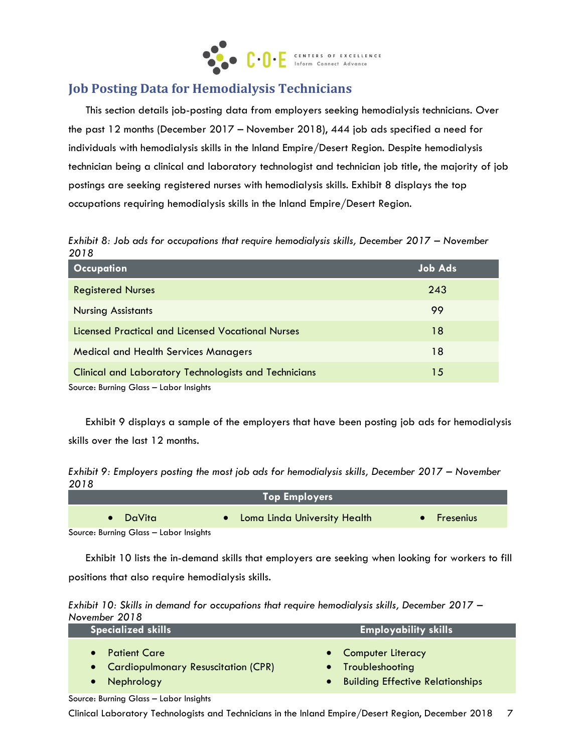

# **Job Posting Data for Hemodialysis Technicians**

This section details job-posting data from employers seeking hemodialysis technicians. Over the past 12 months (December 2017 – November 2018), 444 job ads specified a need for individuals with hemodialysis skills in the Inland Empire/Desert Region. Despite hemodialysis technician being a clinical and laboratory technologist and technician job title, the majority of job postings are seeking registered nurses with hemodialysis skills. Exhibit 8 displays the top occupations requiring hemodialysis skills in the Inland Empire/Desert Region.

*Exhibit 8: Job ads for occupations that require hemodialysis skills, December 2017 – November 2018*

| <b>Occupation</b>                                            | <b>Job Ads</b> |
|--------------------------------------------------------------|----------------|
| <b>Registered Nurses</b>                                     | 243            |
| <b>Nursing Assistants</b>                                    | 99             |
| Licensed Practical and Licensed Vocational Nurses            | 18             |
| <b>Medical and Health Services Managers</b>                  | 18             |
| <b>Clinical and Laboratory Technologists and Technicians</b> | 15             |
| Source: Burning Glass - Labor Insights                       |                |

Exhibit 9 displays a sample of the employers that have been posting job ads for hemodialysis skills over the last 12 months.

*Exhibit 9: Employers posting the most job ads for hemodialysis skills, December 2017 – November 2018*

| <b>Top Employers</b>                 |                                |               |  |  |
|--------------------------------------|--------------------------------|---------------|--|--|
| $\bullet$ DaVita                     | • Loma Linda University Health | ⊪ Fresenius I |  |  |
| Source: Burning Class Labor Insights |                                |               |  |  |

Source: Burning Glass – Labor Insights

Exhibit 10 lists the in-demand skills that employers are seeking when looking for workers to fill positions that also require hemodialysis skills.

|               | Exhibit 10: Skills in demand for occupations that require hemodialysis skills, December 2017 - |  |
|---------------|------------------------------------------------------------------------------------------------|--|
| November 2018 |                                                                                                |  |

| Specialized skills                    | <b>Employability skills</b>        |  |
|---------------------------------------|------------------------------------|--|
| <b>Patient Care</b>                   | • Computer Literacy                |  |
| • Cardiopulmonary Resuscitation (CPR) | • Troubleshooting                  |  |
| Nephrology                            | • Building Effective Relationships |  |

Source: Burning Glass – Labor Insights

Clinical Laboratory Technologists and Technicians in the Inland Empire/Desert Region, December 2018 7